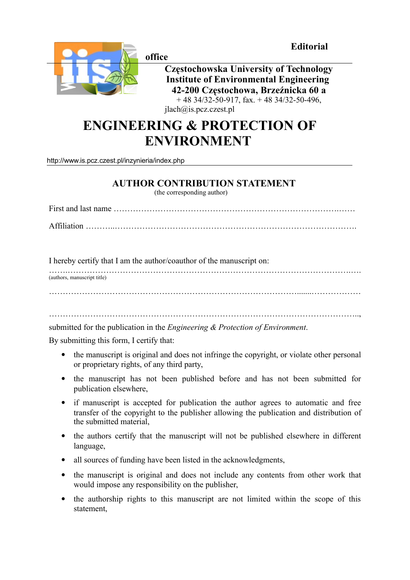**Editorial** 



**office** 

**Częstochowska University of Technology Institute of Environmental Engineering 42-200 Częstochowa, Brzeźnicka 60 a**  $+ 48$  34/32-50-917, fax.  $+ 48$  34/32-50-496, jlach@is.pcz.czest.pl

## **ENGINEERING & PROTECTION OF ENVIRONMENT**

<http://www.is.pcz.czest.pl/inzynieria/index.php>

## **AUTHOR CONTRIBUTION STATEMENT**

(the corresponding author)

First and last name ……………………………………………………………………….…… Affiliation ………..…………………………………………………………………………….

I hereby certify that I am the author/coauthor of the manuscript on:

…….………………………………………………………………………………………….…. (authors, manuscript title)

submitted for the publication in the *Engineering & Protection of Environment*.

By submitting this form, I certify that:

• the manuscript is original and does not infringe the copyright, or violate other personal or proprietary rights, of any third party,

…………………………………………………………………………………………………..,

- the manuscript has not been published before and has not been submitted for publication elsewhere,
- if manuscript is accepted for publication the author agrees to automatic and free transfer of the copyright to the publisher allowing the publication and distribution of the submitted material,
- the authors certify that the manuscript will not be published elsewhere in different language,
- all sources of funding have been listed in the acknowledgments,
- the manuscript is original and does not include any contents from other work that would impose any responsibility on the publisher,
- the authorship rights to this manuscript are not limited within the scope of this statement,